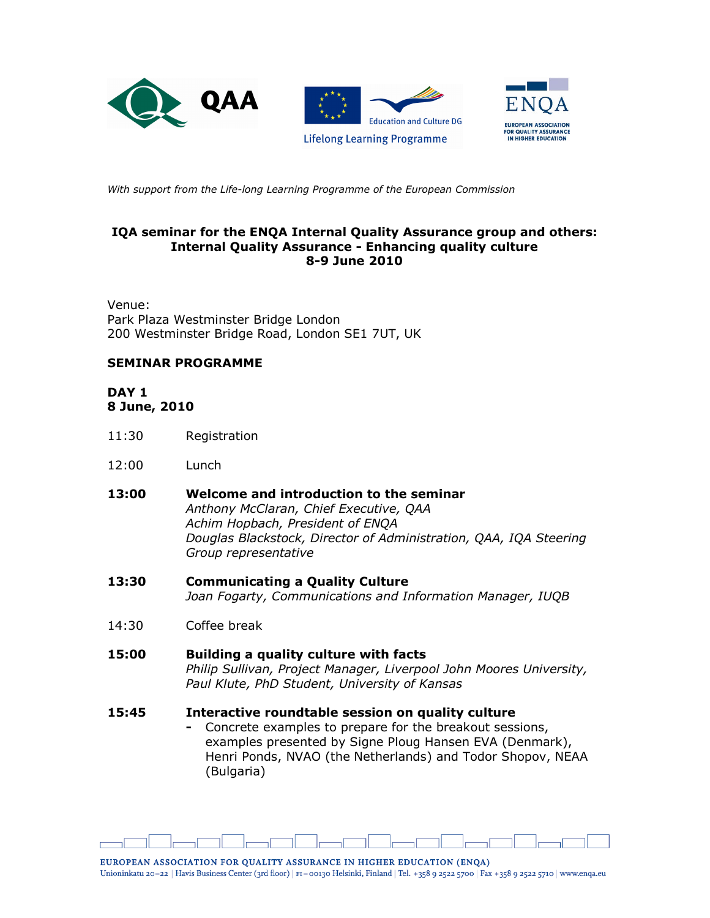

With support from the Life-long Learning Programme of the European Commission

### IQA seminar for the ENQA Internal Quality Assurance group and others: Internal Quality Assurance - Enhancing quality culture 8-9 June 2010

Venue: Park Plaza Westminster Bridge London 200 Westminster Bridge Road, London SE1 7UT, UK

# SEMINAR PROGRAMME

### DAY<sub>1</sub> 8 June, 2010

- 11:30 Registration
- 12:00 Lunch
- 13:00 Welcome and introduction to the seminar Anthony McClaran, Chief Executive, QAA Achim Hopbach, President of ENQA Douglas Blackstock, Director of Administration, QAA, IQA Steering Group representative
- 13:30 Communicating a Quality Culture Joan Fogarty, Communications and Information Manager, IUQB
- 14:30 Coffee break
- 15:00 Building a quality culture with facts Philip Sullivan, Project Manager, Liverpool John Moores University, Paul Klute, PhD Student, University of Kansas

#### 15:45 Interactive roundtable session on quality culture

- Concrete examples to prepare for the breakout sessions, examples presented by Signe Ploug Hansen EVA (Denmark), Henri Ponds, NVAO (the Netherlands) and Todor Shopov, NEAA (Bulgaria)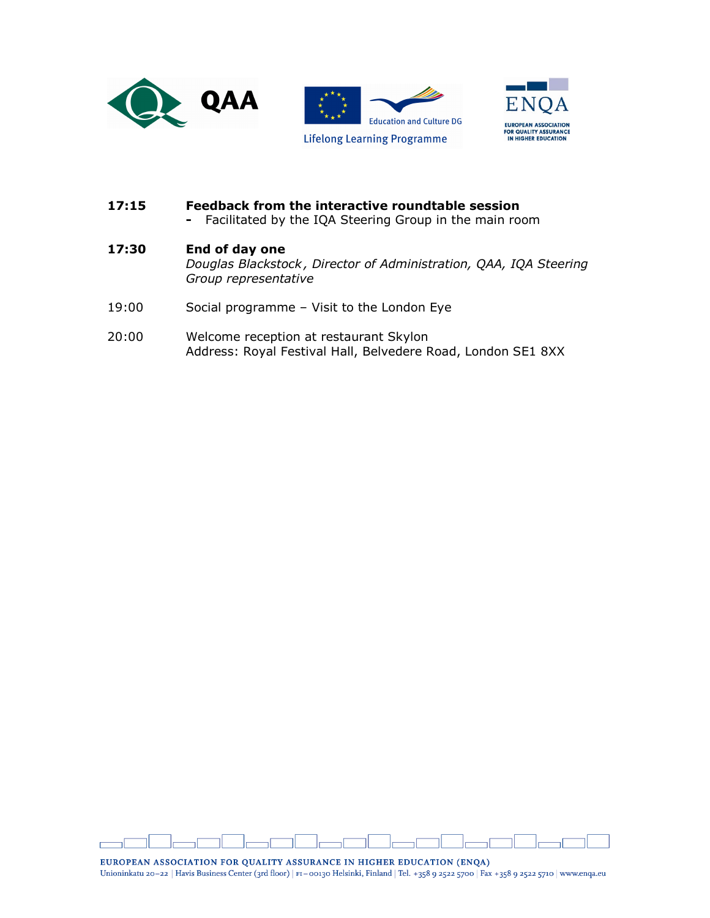



# 17:15 Feedback from the interactive roundtable session

- Facilitated by the IQA Steering Group in the main room

# 17:30 End of day one

Douglas Blackstock , Director of Administration, QAA, IQA Steering Group representative

- 19:00 Social programme Visit to the London Eye
- 20:00 Welcome reception at restaurant Skylon Address: Royal Festival Hall, Belvedere Road, London SE1 8XX